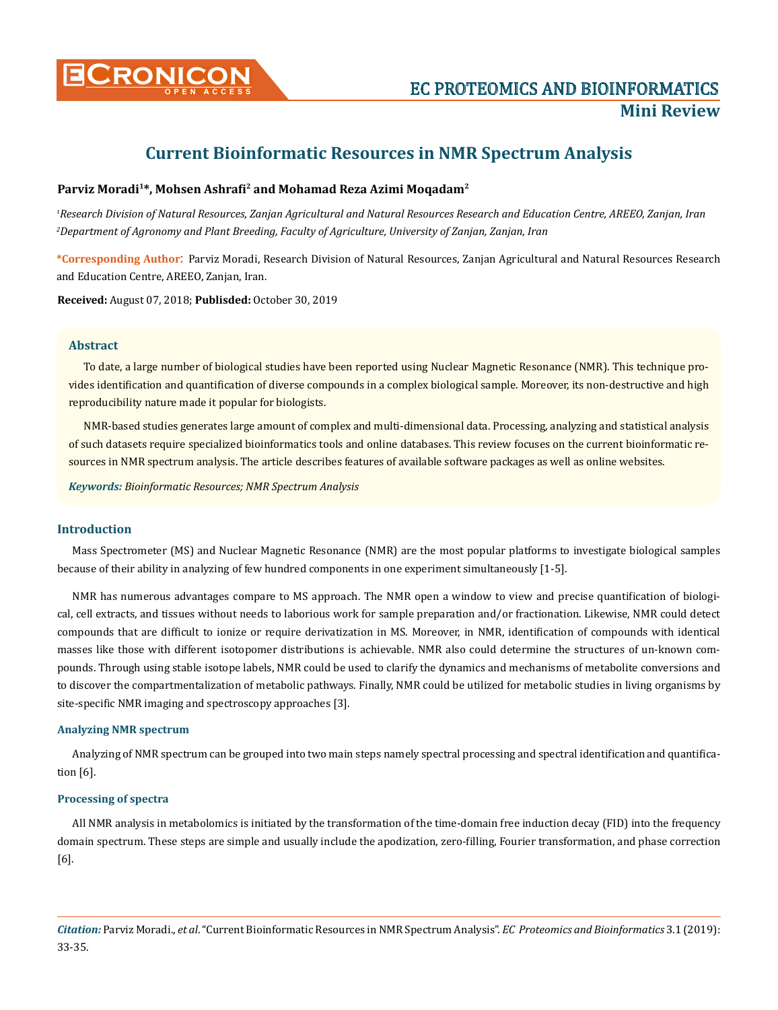

# **Current Bioinformatic Resources in NMR Spectrum Analysis**

# **Parviz Moradi1\*, Mohsen Ashrafi2 and Mohamad Reza Azimi Moqadam2**

*1 Research Division of Natural Resources, Zanjan Agricultural and Natural Resources Research and Education Centre, AREEO, Zanjan, Iran 2 Department of Agronomy and Plant Breeding, Faculty of Agriculture, University of Zanjan, Zanjan, Iran*

**\*Corresponding Author**: Parviz Moradi, Research Division of Natural Resources, Zanjan Agricultural and Natural Resources Research and Education Centre, AREEO, Zanjan, Iran.

**Received:** August 07, 2018; **Publisded:** October 30, 2019

#### **Abstract**

To date, a large number of biological studies have been reported using Nuclear Magnetic Resonance (NMR). This technique provides identification and quantification of diverse compounds in a complex biological sample. Moreover, its non-destructive and high reproducibility nature made it popular for biologists.

NMR-based studies generates large amount of complex and multi-dimensional data. Processing, analyzing and statistical analysis of such datasets require specialized bioinformatics tools and online databases. This review focuses on the current bioinformatic resources in NMR spectrum analysis. The article describes features of available software packages as well as online websites.

*Keywords: Bioinformatic Resources; NMR Spectrum Analysis*

#### **Introduction**

Mass Spectrometer (MS) and Nuclear Magnetic Resonance (NMR) are the most popular platforms to investigate biological samples because of their ability in analyzing of few hundred components in one experiment simultaneously [1-5].

NMR has numerous advantages compare to MS approach. The NMR open a window to view and precise quantification of biological, cell extracts, and tissues without needs to laborious work for sample preparation and/or fractionation. Likewise, NMR could detect compounds that are difficult to ionize or require derivatization in MS. Moreover, in NMR, identification of compounds with identical masses like those with different isotopomer distributions is achievable. NMR also could determine the structures of un-known compounds. Through using stable isotope labels, NMR could be used to clarify the dynamics and mechanisms of metabolite conversions and to discover the compartmentalization of metabolic pathways. Finally, NMR could be utilized for metabolic studies in living organisms by site-specific NMR imaging and spectroscopy approaches [3].

#### **Analyzing NMR spectrum**

Analyzing of NMR spectrum can be grouped into two main steps namely spectral processing and spectral identification and quantification [6].

### **Processing of spectra**

All NMR analysis in metabolomics is initiated by the transformation of the time-domain free induction decay (FID) into the frequency domain spectrum. These steps are simple and usually include the apodization, zero-filling, Fourier transformation, and phase correction [6].

*Citation:* Parviz Moradi., *et al*. "Current Bioinformatic Resources in NMR Spectrum Analysis". *EC Proteomics and Bioinformatics* 3.1 (2019): 33-35.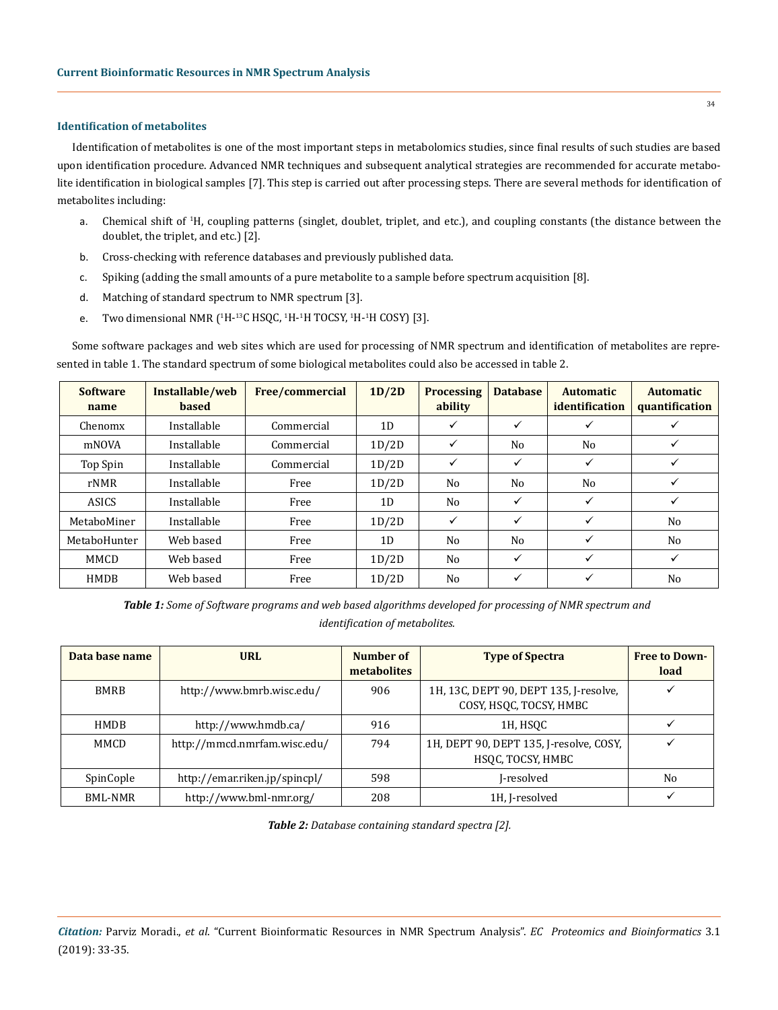#### **Identification of metabolites**

Identification of metabolites is one of the most important steps in metabolomics studies, since final results of such studies are based upon identification procedure. Advanced NMR techniques and subsequent analytical strategies are recommended for accurate metabolite identification in biological samples [7]. This step is carried out after processing steps. There are several methods for identification of metabolites including:

- a. Chemical shift of <sup>1</sup>H, coupling patterns (singlet, doublet, triplet, and etc.), and coupling constants (the distance between the doublet, the triplet, and etc.) [2].
- b. Cross-checking with reference databases and previously published data.
- c. Spiking (adding the small amounts of a pure metabolite to a sample before spectrum acquisition [8].
- d. Matching of standard spectrum to NMR spectrum [3].
- e. Two dimensional NMR (<sup>1</sup>H-<sup>13</sup>C HSQC, <sup>1</sup>H-<sup>1</sup>H TOCSY, <sup>1</sup>H-<sup>1</sup>H COSY) [3].

Some software packages and web sites which are used for processing of NMR spectrum and identification of metabolites are represented in table 1. The standard spectrum of some biological metabolites could also be accessed in table 2.

| <b>Software</b><br>name | Installable/web<br><b>based</b> | Free/commercial | 1D/2D | <b>Processing</b><br>ability | <b>Database</b> | <b>Automatic</b><br>identification | <b>Automatic</b><br>quantification |
|-------------------------|---------------------------------|-----------------|-------|------------------------------|-----------------|------------------------------------|------------------------------------|
| Chenomx                 | Installable                     | Commercial      | 1D    | ✓                            | ✓               | $\checkmark$                       | ✓                                  |
| mNOVA                   | Installable                     | Commercial      | 1D/2D | ✓                            | No              | No                                 | ✓                                  |
| Top Spin                | Installable                     | Commercial      | 1D/2D | ✓                            | ✓               | ✓                                  | ✓                                  |
| rNMR                    | Installable                     | Free            | 1D/2D | N <sub>0</sub>               | No              | No                                 | ✓                                  |
| ASICS                   | Installable                     | Free            | 1D    | N <sub>0</sub>               | ✓               | ✓                                  | ✓                                  |
| MetaboMiner             | Installable                     | Free            | 1D/2D | ✓                            | $\checkmark$    | ✓                                  | N <sub>o</sub>                     |
| MetaboHunter            | Web based                       | Free            | 1D    | No                           | No              | ✓                                  | No                                 |
| MMCD                    | Web based                       | Free            | 1D/2D | No                           | $\checkmark$    | ✓                                  | ✓                                  |
| <b>HMDB</b>             | Web based                       | Free            | 1D/2D | No                           | ✓               | $\checkmark$                       | No                                 |

*Table 1: Some of Software programs and web based algorithms developed for processing of NMR spectrum and identification of metabolites.*

| Data base name | <b>URL</b>                    | Number of<br><b>metabolites</b> | <b>Type of Spectra</b>                                            | <b>Free to Down-</b><br>load |
|----------------|-------------------------------|---------------------------------|-------------------------------------------------------------------|------------------------------|
| <b>BMRB</b>    | http://www.bmrb.wisc.edu/     | 906                             | 1H, 13C, DEPT 90, DEPT 135, J-resolve,<br>COSY, HSQC, TOCSY, HMBC |                              |
| <b>HMDB</b>    | http://www.hmdb.ca/           | 916                             | 1H, HSQC                                                          |                              |
| MMCD           | http://mmcd.nmrfam.wisc.edu/  | 794                             | 1H, DEPT 90, DEPT 135, J-resolve, COSY,<br>HSOC, TOCSY, HMBC      |                              |
| SpinCople      | http://emar.riken.jp/spincpl/ | 598                             | I-resolved                                                        | N <sub>0</sub>               |
| BML-NMR        | http://www.bml-nmr.org/       | 208                             | 1H, J-resolved                                                    |                              |

*Table 2: Database containing standard spectra [2].*